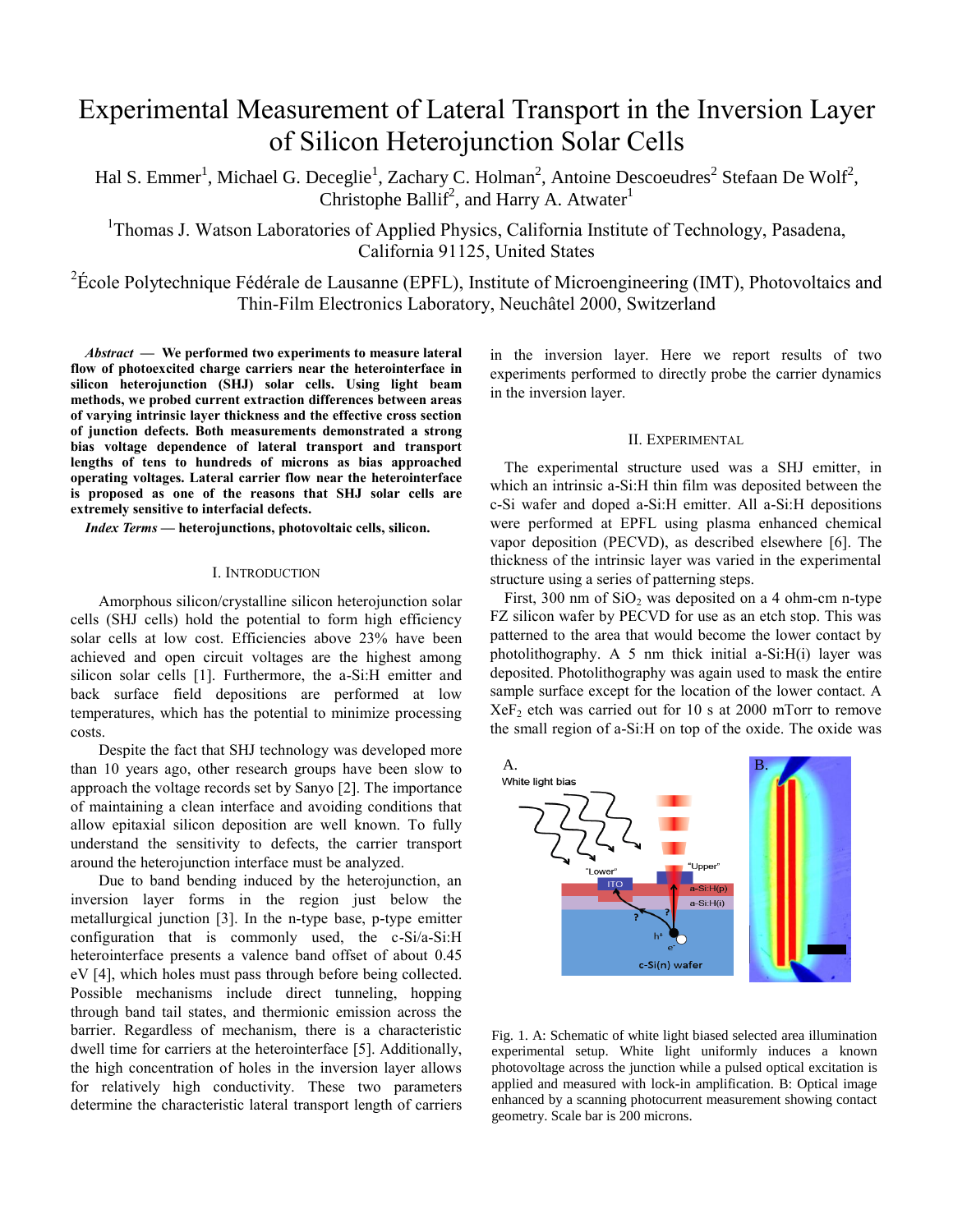# Experimental Measurement of Lateral Transport in the Inversion Layer of Silicon Heterojunction Solar Cells

Hal S. Emmer<sup>1</sup>, Michael G. Deceglie<sup>1</sup>, Zachary C. Holman<sup>2</sup>, Antoine Descoeudres<sup>2</sup> Stefaan De Wolf<sup>2</sup>, Christophe Ballif<sup>2</sup>, and Harry A. Atwater<sup>1</sup>

<sup>1</sup>Thomas J. Watson Laboratories of Applied Physics, California Institute of Technology, Pasadena, California 91125, United States

<sup>2</sup>École Polytechnique Fédérale de Lausanne (EPFL), Institute of Microengineering (IMT), Photovoltaics and Thin-Film Electronics Laboratory, Neuchâtel 2000, Switzerland

*Abstract* **— We performed two experiments to measure lateral flow of photoexcited charge carriers near the heterointerface in silicon heterojunction (SHJ) solar cells. Using light beam methods, we probed current extraction differences between areas of varying intrinsic layer thickness and the effective cross section of junction defects. Both measurements demonstrated a strong bias voltage dependence of lateral transport and transport lengths of tens to hundreds of microns as bias approached operating voltages. Lateral carrier flow near the heterointerface is proposed as one of the reasons that SHJ solar cells are extremely sensitive to interfacial defects.** 

*Index Terms* **— heterojunctions, photovoltaic cells, silicon.**

## I. INTRODUCTION

Amorphous silicon/crystalline silicon heterojunction solar cells (SHJ cells) hold the potential to form high efficiency solar cells at low cost. Efficiencies above 23% have been achieved and open circuit voltages are the highest among silicon solar cells [\[1\]](#page-2-0). Furthermore, the a-Si:H emitter and back surface field depositions are performed at low temperatures, which has the potential to minimize processing costs.

Despite the fact that SHJ technology was developed more than 10 years ago, other research groups have been slow to approach the voltage records set by Sanyo [\[2\]](#page-2-1). The importance of maintaining a clean interface and avoiding conditions that allow epitaxial silicon deposition are well known. To fully understand the sensitivity to defects, the carrier transport around the heterojunction interface must be analyzed.

Due to band bending induced by the heterojunction, an inversion layer forms in the region just below the metallurgical junction [\[3\]](#page-2-2). In the n-type base, p-type emitter configuration that is commonly used, the c-Si/a-Si:H heterointerface presents a valence band offset of about  $0.45$ eV [\[4\]](#page-2-3), which holes must pass through before being collected. Possible mechanisms include direct tunneling, hopping through band tail states, and thermionic emission across the barrier. Regardless of mechanism, there is a characteristic dwell time for carriers at the heterointerface [\[5\]](#page-2-4). Additionally, the high concentration of holes in the inversion layer allows for relatively high conductivity. These two parameters determine the characteristic lateral transport length of carriers in the inversion layer. Here we report results of two experiments performed to directly probe the carrier dynamics in the inversion layer.

## II. EXPERIMENTAL

The experimental structure used was a SHJ emitter, in which an intrinsic a-Si:H thin film was deposited between the c-Si wafer and doped a-Si:H emitter. All a-Si:H depositions were performed at EPFL using plasma enhanced chemical vapor deposition (PECVD), as described elsewhere [\[6\]](#page-2-5). The thickness of the intrinsic layer was varied in the experimental structure using a series of patterning steps.

First, 300 nm of  $SiO<sub>2</sub>$  was deposited on a 4 ohm-cm n-type FZ silicon wafer by PECVD for use as an etch stop. This was patterned to the area that would become the lower contact by photolithography. A 5 nm thick initial a-Si: $H(i)$  layer was deposited. Photolithography was again used to mask the entire sample surface except for the location of the lower contact. A  $XeF<sub>2</sub>$  etch was carried out for 10 s at 2000 mTorr to remove the small region of a-Si:H on top of the oxide. The oxide was



Fig. 1. A: Schematic of white light biased selected area illumination experimental setup. White light uniformly induces a known photovoltage across the junction while a pulsed optical excitation is applied and measured with lock-in amplification. B: Optical image enhanced by a scanning photocurrent measurement showing contact geometry. Scale bar is 200 microns.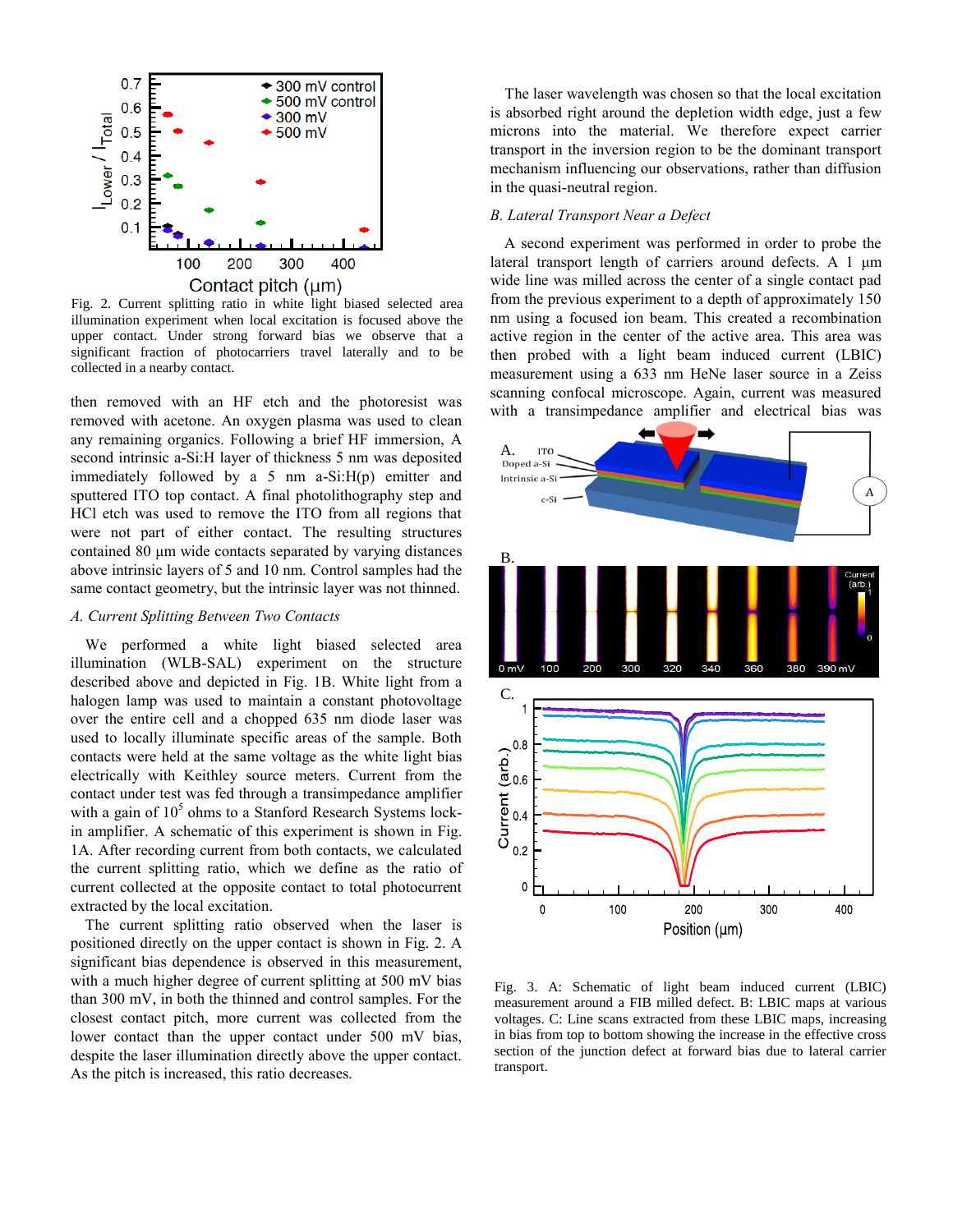

Fig. 2. Current splitting ratio in white light biased selected area illumination experiment when local excitation is focused above the upper contact. Under strong forward bias we observe that a significant fraction of photocarriers travel laterally and to be collected in a nearby contact.

then removed with an HF etch and the photoresist was removed with acetone. An oxygen plasma was used to clean any remaining organics. Following a brief HF immersion, A second intrinsic a-Si:H layer of thickness 5 nm was deposited immediately followed by a 5 nm a-Si:H(p) emitter and sputtered ITO top contact. A final photolithography step and HCl etch was used to remove the ITO from all regions that were not part of either contact. The resulting structures contained 80 μm wide contacts separated by varying distances above intrinsic layers of 5 and 10 nm. Control samples had the same contact geometry, but the intrinsic layer was not thinned.

## *A. Current Splitting Between Two Contacts*

We performed a white light biased selected area illumination (WLB-SAL) experiment on the structure described above and depicted in Fig. 1B. White light from a halogen lamp was used to maintain a constant photovoltage over the entire cell and a chopped 635 nm diode laser was used to locally illuminate specific areas of the sample. Both contacts were held at the same voltage as the white light bias electrically with Keithley source meters. Current from the contact under test was fed through a transimpedance amplifier with a gain of  $10<sup>5</sup>$  ohms to a Stanford Research Systems lockin amplifier. A schematic of this experiment is shown in Fig. 1A. After recording current from both contacts, we calculated the current splitting ratio, which we define as the ratio of current collected at the opposite contact to total photocurrent extracted by the local excitation.

The current splitting ratio observed when the laser is positioned directly on the upper contact is shown in Fig. 2. A significant bias dependence is observed in this measurement, with a much higher degree of current splitting at 500 mV bias than 300 mV, in both the thinned and control samples. For the closest contact pitch, more current was collected from the lower contact than the upper contact under 500 mV bias, despite the laser illumination directly above the upper contact. As the pitch is increased, this ratio decreases.

The laser wavelength was chosen so that the local excitation is absorbed right around the depletion width edge, just a few microns into the material. We therefore expect carrier transport in the inversion region to be the dominant transport mechanism influencing our observations, rather than diffusion in the quasi-neutral region.

## *B. Lateral Transport Near a Defect*

A second experiment was performed in order to probe the lateral transport length of carriers around defects. A 1 μm wide line was milled across the center of a single contact pad from the previous experiment to a depth of approximately 150 nm using a focused ion beam. This created a recombination active region in the center of the active area. This area was then probed with a light beam induced current (LBIC) measurement using a 633 nm HeNe laser source in a Zeiss scanning confocal microscope. Again, current was measured with a transimpedance amplifier and electrical bias was



Fig. 3. A: Schematic of light beam induced current (LBIC) measurement around a FIB milled defect. B: LBIC maps at various voltages. C: Line scans extracted from these LBIC maps, increasing in bias from top to bottom showing the increase in the effective cross section of the junction defect at forward bias due to lateral carrier transport.